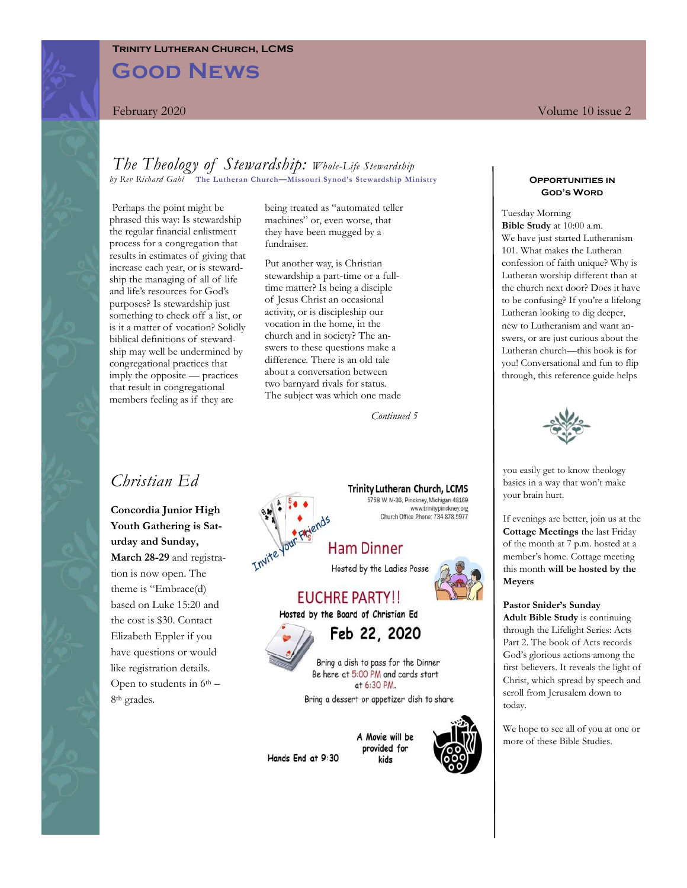## **Trinity Lutheran Church, LCMS**

# **Good News**

## *The Theology of Stewardship: Whole-Life Stewardship by Rev Richard Gahl* **The Lutheran Church—Missouri Synod's Stewardship Ministry**

Perhaps the point might be phrased this way: Is stewardship the regular financial enlistment process for a congregation that results in estimates of giving that increase each year, or is stewardship the managing of all of life and life's resources for God's purposes? Is stewardship just something to check off a list, or is it a matter of vocation? Solidly biblical definitions of stewardship may well be undermined by congregational practices that imply the opposite — practices that result in congregational members feeling as if they are

being treated as "automated teller machines" or, even worse, that they have been mugged by a fundraiser.

Put another way, is Christian stewardship a part-time or a fulltime matter? Is being a disciple of Jesus Christ an occasional activity, or is discipleship our vocation in the home, in the church and in society? The answers to these questions make a difference. There is an old tale about a conversation between two barnyard rivals for status. The subject was which one made

*Continued 5*

# *Christian Ed*

**Concordia Junior High Youth Gathering is Saturday and Sunday, March 28-29** and registration is now open. The theme is "Embrace(d) based on Luke 15:20 and the cost is \$30. Contact Elizabeth Eppler if you have questions or would like registration details. Open to students in  $6<sup>th</sup>$  – 8th grades.

**Trinity Lutheran Church, LCMS** 5758 W. M-36, Pinckney, Michigan 48169 www.trinitypinckney.org<br>Church Office Phone: 734.878.5977

**Ham Dinner** 

Hosted by the Ladies Posse

# EUCHRE PARTY!! Hosted by the Board of Christian Ed

Feb 22, 2020

Bring a dish to pass for the Dinner Be here at 5:00 PM and cards start at 6:30 PM.

Bring a dessert or appetizer dish to share

Hands End at 9:30

A Movie will be provided for kids



#### **Opportunities in God's Word**

Tuesday Morning **Bible Study** at 10:00 a.m. We have just started Lutheranism 101. What makes the Lutheran confession of faith unique? Why is Lutheran worship different than at the church next door? Does it have to be confusing? If you're a lifelong Lutheran looking to dig deeper, new to Lutheranism and want answers, or are just curious about the Lutheran church—this book is for you! Conversational and fun to flip through, this reference guide helps



you easily get to know theology basics in a way that won't make your brain hurt.

If evenings are better, join us at the **Cottage Meetings** the last Friday of the month at 7 p.m. hosted at a member's home. Cottage meeting this month **will be hosted by the Meyers**

#### **Pastor Snider's Sunday**

**Adult Bible Study** is continuing through the Lifelight Series: Acts Part 2. The book of Acts records God's glorious actions among the first believers. It reveals the light of Christ, which spread by speech and scroll from Jerusalem down to today.

We hope to see all of you at one or more of these Bible Studies.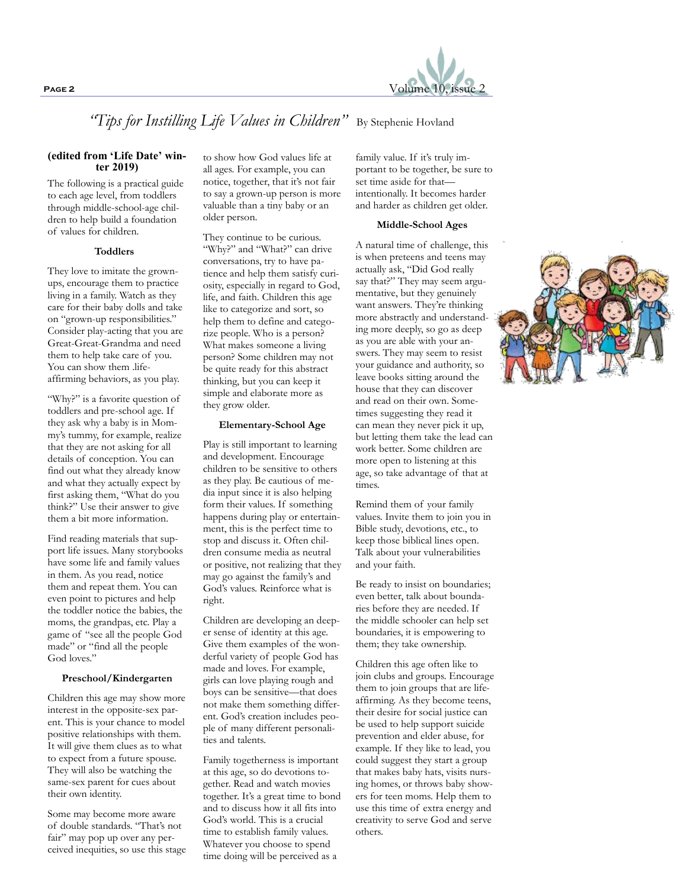

"Tips for Instilling Life Values in Children" By Stephenie Hovland

### **(edited from 'Life Date' winter 2019)**

The following is a practical guide to each age level, from toddlers through middle-school-age children to help build a foundation of values for children.

#### **Toddlers**

They love to imitate the grownups, encourage them to practice living in a family. Watch as they care for their baby dolls and take on "grown-up responsibilities." Consider play-acting that you are Great-Great-Grandma and need them to help take care of you. You can show them .lifeaffirming behaviors, as you play.

"Why?" is a favorite question of toddlers and pre-school age. If they ask why a baby is in Mommy's tummy, for example, realize that they are not asking for all details of conception. You can find out what they already know and what they actually expect by first asking them, "What do you think?" Use their answer to give them a bit more information.

Find reading materials that support life issues. Many storybooks have some life and family values in them. As you read, notice them and repeat them. You can even point to pictures and help the toddler notice the babies, the moms, the grandpas, etc. Play a game of "see all the people God made" or "find all the people God loves."

## **Preschool/Kindergarten**

Children this age may show more interest in the opposite-sex parent. This is your chance to model positive relationships with them. It will give them clues as to what to expect from a future spouse. They will also be watching the same-sex parent for cues about their own identity.

Some may become more aware of double standards. "That's not fair" may pop up over any perceived inequities, so use this stage

to show how God values life at all ages. For example, you can notice, together, that it's not fair to say a grown-up person is more valuable than a tiny baby or an older person.

They continue to be curious. "Why?" and "What?" can drive conversations, try to have patience and help them satisfy curiosity, especially in regard to God, life, and faith. Children this age like to categorize and sort, so help them to define and categorize people. Who is a person? What makes someone a living person? Some children may not be quite ready for this abstract thinking, but you can keep it simple and elaborate more as they grow older.

#### **Elementary-School Age**

Play is still important to learning and development. Encourage children to be sensitive to others as they play. Be cautious of media input since it is also helping form their values. If something happens during play or entertainment, this is the perfect time to stop and discuss it. Often children consume media as neutral or positive, not realizing that they may go against the family's and God's values. Reinforce what is right.

Children are developing an deeper sense of identity at this age. Give them examples of the wonderful variety of people God has made and loves. For example, girls can love playing rough and boys can be sensitive—that does not make them something different. God's creation includes people of many different personalities and talents.

Family togetherness is important at this age, so do devotions together. Read and watch movies together. It's a great time to bond and to discuss how it all fits into God's world. This is a crucial time to establish family values. Whatever you choose to spend time doing will be perceived as a

family value. If it's truly important to be together, be sure to set time aside for that intentionally. It becomes harder and harder as children get older.

#### **Middle-School Ages**

A natural time of challenge, this is when preteens and teens may actually ask, "Did God really say that?" They may seem argumentative, but they genuinely want answers. They're thinking more abstractly and understanding more deeply, so go as deep as you are able with your answers. They may seem to resist your guidance and authority, so leave books sitting around the house that they can discover and read on their own. Sometimes suggesting they read it can mean they never pick it up, but letting them take the lead can work better. Some children are more open to listening at this age, so take advantage of that at times.

Remind them of your family values. Invite them to join you in Bible study, devotions, etc., to keep those biblical lines open. Talk about your vulnerabilities and your faith.

Be ready to insist on boundaries; even better, talk about boundaries before they are needed. If the middle schooler can help set boundaries, it is empowering to them; they take ownership.

Children this age often like to join clubs and groups. Encourage them to join groups that are lifeaffirming. As they become teens, their desire for social justice can be used to help support suicide prevention and elder abuse, for example. If they like to lead, you could suggest they start a group that makes baby hats, visits nursing homes, or throws baby showers for teen moms. Help them to use this time of extra energy and creativity to serve God and serve others.

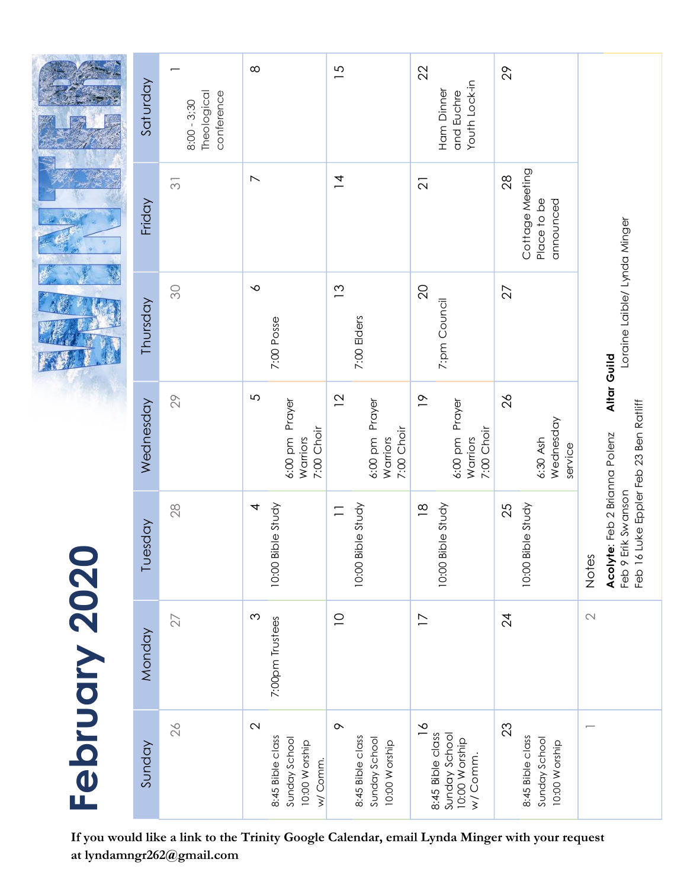|               | Saturday  | Theological<br>conference<br>$8:00 - 3:30$ | $\infty$                                                                           | $\overline{5}$                                                | 22<br>Youth Lock-in<br>Ham Dinner<br>and Euchre                                | 29                                                        |                                                                                                                           |
|---------------|-----------|--------------------------------------------|------------------------------------------------------------------------------------|---------------------------------------------------------------|--------------------------------------------------------------------------------|-----------------------------------------------------------|---------------------------------------------------------------------------------------------------------------------------|
|               | Friday    | $\overline{\odot}$                         | $\boldsymbol{\mathrel{N}}$                                                         | $\overline{4}$                                                | $\overline{\Omega}$                                                            | Cottage Meeting<br>28<br>Place to be<br>announced         |                                                                                                                           |
|               | Thursday  | SO                                         | $\sim$<br>7:00 Posse                                                               | $\tilde{c}$<br>7:00 Elders                                    | $\overline{Q}$<br>7:pm Council                                                 | 27                                                        | Loraine Laible/ Lynda Minger                                                                                              |
| February 2020 | Wednesday | 29                                         | $\mathfrak{S}$<br>6:00 pm Prayer<br>7:00 Choir<br>Warriors                         | $\overline{2}$<br>6:00 pm Prayer<br>7:00 Choir<br>Warriors    | $\frac{\infty}{\infty}$<br>6:00 pm Prayer<br>7:00 Choir<br>Warriors            | $\frac{2}{6}$<br>Wednesday<br>6:30 Ash<br>service         | Altar Guild<br>Feb 16 Luke Eppler Feb 23 Ben Ratliff<br>Acolyte: Feb 2 Brianna Polenz<br>Erik Swanson<br>Notes<br>Feb 9 E |
|               | Tuesday   | 28                                         | 10:00 Bible Study<br>4                                                             | 10:00 Bible Study<br>$\equiv$                                 | 10:00 Bible Study<br>$\frac{8}{10}$                                            | 10:00 Bible Study<br>25                                   |                                                                                                                           |
|               | Monday    | 27                                         | $\infty$<br>7:00pm Trustees                                                        | $\supseteq$                                                   | $\overline{\phantom{0}}$                                                       | $\overline{2}$                                            | $\mathbb{C}$                                                                                                              |
|               | Sunday    | 26                                         | $\mathbf{\Omega}$<br>8:45 Bible class<br>Sunday School<br>10:00 Worship<br>w/Comm. | $\sim$<br>8:45 Bible class<br>Sunday School<br>10:00 W orship | $\frac{8}{1}$<br>8:45 Bible class<br>Sunday School<br>10:00 Worship<br>w/Comm. | 23<br>8:45 Bible class<br>Sunday School<br>10:00 W orship |                                                                                                                           |

**If you would like a link to the Trinity Google Calendar, email Lynda Minger with your request at lyndamngr262@gmail.com**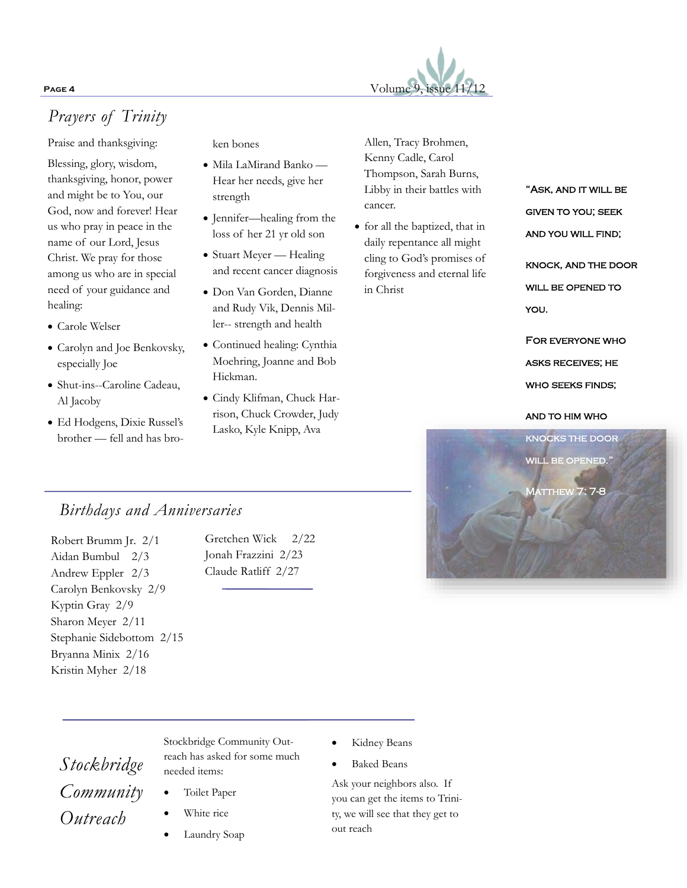

# *Prayers of Trinity*

Praise and thanksgiving:

Blessing, glory, wisdom, thanksgiving, honor, power and might be to You, our God, now and forever! Hear us who pray in peace in the name of our Lord, Jesus Christ. We pray for those among us who are in special need of your guidance and healing:

- Carole Welser
- Carolyn and Joe Benkovsky, especially Joe
- Shut-ins--Caroline Cadeau, Al Jacoby
- Ed Hodgens, Dixie Russel's brother — fell and has bro-

ken bones

- Mila LaMirand Banko Hear her needs, give her strength
- Jennifer—healing from the loss of her 21 yr old son
- Stuart Meyer Healing and recent cancer diagnosis
- Don Van Gorden, Dianne and Rudy Vik, Dennis Miller-- strength and health
- Continued healing: Cynthia Moehring, Joanne and Bob Hickman.
- Cindy Klifman, Chuck Harrison, Chuck Crowder, Judy Lasko, Kyle Knipp, Ava

Allen, Tracy Brohmen, Kenny Cadle, Carol Thompson, Sarah Burns, Libby in their battles with cancer.

• for all the baptized, that in daily repentance all might cling to God's promises of forgiveness and eternal life in Christ

"Ask, and it will be given to you; seek and you will find;

knock, and the door WILL BE OPENED TO you.

For everyone who asks receives; he who seeks finds;

## and to him who



# *Birthdays and Anniversaries*

Robert Brumm Jr. 2/1 Aidan Bumbul 2/3 Andrew Eppler 2/3 Carolyn Benkovsky 2/9 Kyptin Gray 2/9 Sharon Meyer 2/11 Stephanie Sidebottom 2/15 Bryanna Minix 2/16 Kristin Myher 2/18

Gretchen Wick 2/22 Jonah Frazzini 2/23 Claude Ratliff 2/27

# *Stockbridge Community Outreach*

Stockbridge Community Outreach has asked for some much needed items:

- Toilet Paper
- White rice
- Laundry Soap
- **Kidney Beans**
- Baked Beans

Ask your neighbors also. If you can get the items to Trinity, we will see that they get to out reach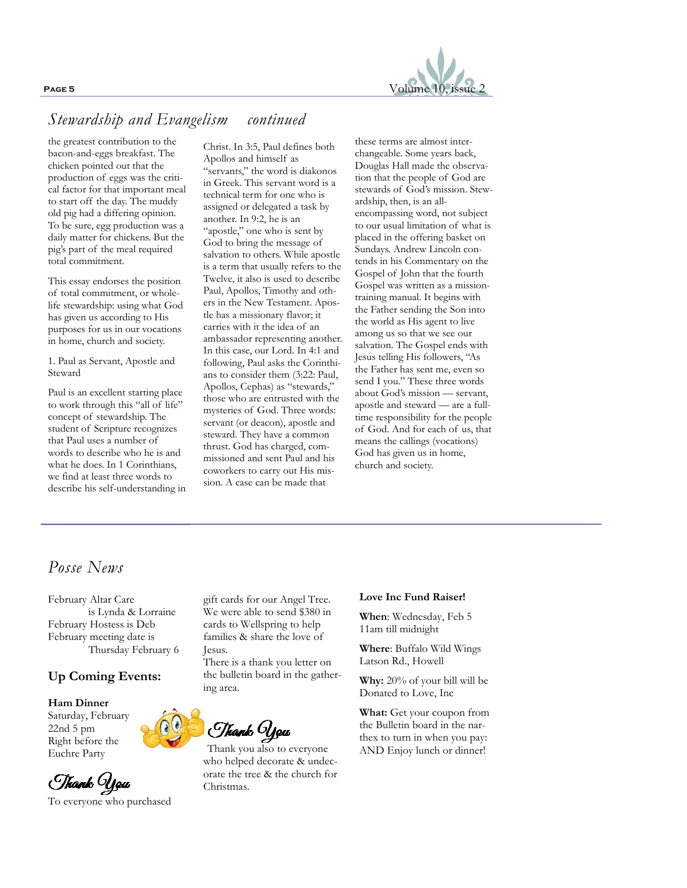

# *Stewardship and Evangelism continued*

the greatest contribution to the bacon-and-eggs breakfast. The chicken pointed out that the production of eggs was the critical factor for that important meal to start off the day. The muddy old pig had a differing opinion. To be sure, egg production was a daily matter for chickens. But the pig's part of the meal required total commitment.

This essay endorses the position of total commitment, or wholelife stewardship: using what God has given us according to His purposes for us in our vocations in home, church and society.

1. Paul as Servant, Apostle and Steward

Paul is an excellent starting place to work through this "all of life" concept of stewardship. The student of Scripture recognizes that Paul uses a number of words to describe who he is and what he does. In 1 Corinthians, we find at least three words to describe his self-understanding in

Christ. In 3:5, Paul defines both Apollos and himself as

"servants," the word is diakonos in Greek. This servant word is a technical term for one who is assigned or delegated a task by another. In 9:2, he is an "apostle," one who is sent by God to bring the message of salvation to others. While apostle is a term that usually refers to the Twelve, it also is used to describe Paul, Apollos, Timothy and others in the New Testament. Apostle has a missionary flavor; it carries with it the idea of an ambassador representing another. In this case, our Lord. In 4:1 and following, Paul asks the Corinthians to consider them (3:22: Paul, Apollos, Cephas) as "stewards," those who are entrusted with the mysteries of God. Three words: servant (or deacon), apostle and steward. They have a common thrust. God has charged, commissioned and sent Paul and his coworkers to carry out His mission. A case can be made that

these terms are almost interchangeable. Some years back, Douglas Hall made the observation that the people of God are stewards of God's mission. Stewardship, then, is an allencompassing word, not subject to our usual limitation of what is placed in the offering basket on Sundays. Andrew Lincoln contends in his Commentary on the Gospel of John that the fourth Gospel was written as a missiontraining manual. It begins with the Father sending the Son into the world as His agent to live among us so that we see our salvation. The Gospel ends with Jesus telling His followers, "As the Father has sent me, even so send I you." These three words about God's mission — servant, apostle and steward — are a fulltime responsibility for the people of God. And for each of us, that means the callings (vocations) God has given us in home, church and society.

# *Posse News*

February Altar Care is Lynda & Lorraine February Hostess is Deb February meeting date is Thursday February 6

## **Up Coming Events:**

### **Ham Dinner** Saturday, February

22nd 5 pm Right before the Euchre Party



gift cards for our Angel Tree. We were able to send \$380 in cards to Wellspring to help families & share the love of Jesus.

There is a thank you letter on the bulletin board in the gathering area.

*Thank* **You**<br>Thank you also to everyone

who helped decorate & undecorate the tree & the church for Christmas.

#### **Love Inc Fund Raiser!**

**When**: Wednesday, Feb 5 11am till midnight

**Where**: Buffalo Wild Wings Latson Rd., Howell

**Why:** 20% of your bill will be Donated to Love, Inc

**What:** Get your coupon from the Bulletin board in the narthex to turn in when you pay: AND Enjoy lunch or dinner!